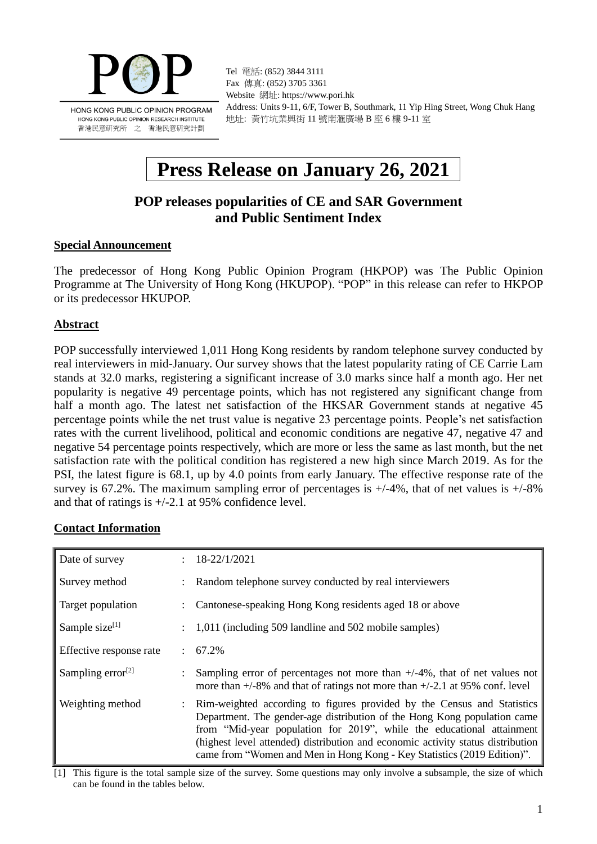

HONG KONG PUBLIC OPINION RESEARCH INSTITUTE 香港民意研究所 之 香港民意研究計劃

Tel 電話: (852) 3844 3111 Fax 傳真: (852) 3705 3361 Website 網址: https://www.pori.hk Address: Units 9-11, 6/F, Tower B, Southmark, 11 Yip Hing Street, Wong Chuk Hang 地址: 黃竹坑業興街 11 號南滙廣場 B 座 6 樓 9-11 室

# **Press Release on January 26, 2021**

## **POP releases popularities of CE and SAR Government and Public Sentiment Index**

#### **Special Announcement**

The predecessor of Hong Kong Public Opinion Program (HKPOP) was The Public Opinion Programme at The University of Hong Kong (HKUPOP). "POP" in this release can refer to HKPOP or its predecessor HKUPOP.

#### **Abstract**

POP successfully interviewed 1,011 Hong Kong residents by random telephone survey conducted by real interviewers in mid-January. Our survey shows that the latest popularity rating of CE Carrie Lam stands at 32.0 marks, registering a significant increase of 3.0 marks since half a month ago. Her net popularity is negative 49 percentage points, which has not registered any significant change from half a month ago. The latest net satisfaction of the HKSAR Government stands at negative 45 percentage points while the net trust value is negative 23 percentage points. People's net satisfaction rates with the current livelihood, political and economic conditions are negative 47, negative 47 and negative 54 percentage points respectively, which are more or less the same as last month, but the net satisfaction rate with the political condition has registered a new high since March 2019. As for the PSI, the latest figure is 68.1, up by 4.0 points from early January. The effective response rate of the survey is 67.2%. The maximum sampling error of percentages is  $+/-4\%$ , that of net values is  $+/-8\%$ and that of ratings is +/-2.1 at 95% confidence level.

#### **Contact Information**

| Date of survey          | $\mathbb{R}^{\mathbb{Z}}$ | 18-22/1/2021                                                                                                                                                                                                                                                                                                                                                                               |
|-------------------------|---------------------------|--------------------------------------------------------------------------------------------------------------------------------------------------------------------------------------------------------------------------------------------------------------------------------------------------------------------------------------------------------------------------------------------|
| Survey method           |                           | Random telephone survey conducted by real interviewers                                                                                                                                                                                                                                                                                                                                     |
| Target population       |                           | Cantonese-speaking Hong Kong residents aged 18 or above                                                                                                                                                                                                                                                                                                                                    |
| Sample size $[1]$       |                           | 1,011 (including 509 landline and 502 mobile samples)                                                                                                                                                                                                                                                                                                                                      |
| Effective response rate |                           | $: 67.2\%$                                                                                                                                                                                                                                                                                                                                                                                 |
| Sampling error $^{[2]}$ |                           | Sampling error of percentages not more than $+/-4\%$ , that of net values not<br>more than $+/-8\%$ and that of ratings not more than $+/-2.1$ at 95% conf. level                                                                                                                                                                                                                          |
| Weighting method        |                           | Rim-weighted according to figures provided by the Census and Statistics<br>Department. The gender-age distribution of the Hong Kong population came<br>from "Mid-year population for 2019", while the educational attainment<br>(highest level attended) distribution and economic activity status distribution<br>came from "Women and Men in Hong Kong - Key Statistics (2019 Edition)". |

[1] This figure is the total sample size of the survey. Some questions may only involve a subsample, the size of which can be found in the tables below.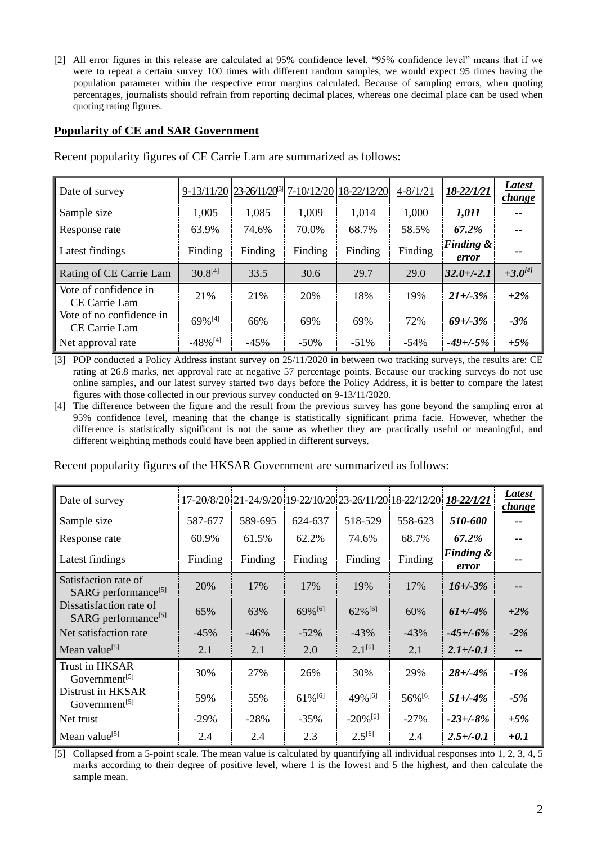[2] All error figures in this release are calculated at 95% confidence level. "95% confidence level" means that if we were to repeat a certain survey 100 times with different random samples, we would expect 95 times having the population parameter within the respective error margins calculated. Because of sampling errors, when quoting percentages, journalists should refrain from reporting decimal places, whereas one decimal place can be used when quoting rating figures.

#### **Popularity of CE and SAR Government**

| Date of survey                            |                        | 9-13/11/20 23-26/11/20 <sup>[3]</sup> 7-10/12/20 18-22/12/20 |         |         | $4 - 8/1/21$ | 18-22/1/21                    | Latest<br><i>change</i> |
|-------------------------------------------|------------------------|--------------------------------------------------------------|---------|---------|--------------|-------------------------------|-------------------------|
| Sample size                               | 1,005                  | 1,085                                                        | 1,009   | 1,014   | 1,000        | 1,011                         |                         |
| Response rate                             | 63.9%                  | 74.6%                                                        | 70.0%   | 68.7%   | 58.5%        | 67.2%                         |                         |
| Latest findings                           | Finding                | Finding                                                      | Finding | Finding | Finding      | <b>Finding &amp;</b><br>error |                         |
| Rating of CE Carrie Lam                   | $30.8^{[4]}$           | 33.5                                                         | 30.6    | 29.7    | 29.0         | $32.0 + (-2.1)$               | $+3.0^{[4]}$            |
| Vote of confidence in<br>CE Carrie Lam    | 21%                    | 21%                                                          | 20%     | 18%     | 19%          | $21 + (-3)$ %                 | $+2\%$                  |
| Vote of no confidence in<br>CE Carrie Lam | $69\%$ <sup>[4]</sup>  | 66%                                                          | 69%     | 69%     | 72%          | $69 + (-3%)$                  | $-3%$                   |
| Net approval rate                         | $-48\%$ <sup>[4]</sup> | $-45%$                                                       | $-50\%$ | $-51\%$ | $-54\%$      | $-49 + (-5%$                  | $+5%$                   |

Recent popularity figures of CE Carrie Lam are summarized as follows:

[3] POP conducted a Policy Address instant survey on 25/11/2020 in between two tracking surveys, the results are: CE rating at 26.8 marks, net approval rate at negative 57 percentage points. Because our tracking surveys do not use online samples, and our latest survey started two days before the Policy Address, it is better to compare the latest figures with those collected in our previous survey conducted on 9-13/11/2020.

[4] The difference between the figure and the result from the previous survey has gone beyond the sampling error at 95% confidence level, meaning that the change is statistically significant prima facie. However, whether the difference is statistically significant is not the same as whether they are practically useful or meaningful, and different weighting methods could have been applied in different surveys.

Recent popularity figures of the HKSAR Government are summarized as follows:

| Date of survey                                             |         |         |                       |                        | 17-20/8/20 21-24/9/20 19-22/10/20 23-26/11/20 18-22/12/20 | 18-22/1/21                    | Latest<br><i>change</i> |
|------------------------------------------------------------|---------|---------|-----------------------|------------------------|-----------------------------------------------------------|-------------------------------|-------------------------|
| Sample size                                                | 587-677 | 589-695 | 624-637               | 518-529                | 558-623                                                   | 510-600                       |                         |
| Response rate                                              | 60.9%   | 61.5%   | 62.2%                 | 74.6%                  | 68.7%                                                     | 67.2%                         |                         |
| Latest findings                                            | Finding | Finding | Finding               | Finding                | Finding                                                   | <b>Finding &amp;</b><br>error |                         |
| Satisfaction rate of<br>SARG performance <sup>[5]</sup>    | 20%     | 17%     | 17%                   | 19%                    | 17%                                                       | $16 + (-3%)$                  |                         |
| Dissatisfaction rate of<br>SARG performance <sup>[5]</sup> | 65%     | 63%     | 69% [6]               | $62\%$ <sup>[6]</sup>  | 60%                                                       | $61 + (-4%)$                  | $+2\%$                  |
| Net satisfaction rate                                      | $-45%$  | $-46%$  | $-52\%$               | $-43%$                 | $-43%$                                                    | $-45 + (-6\%$                 | $-2\%$                  |
| Mean value <sup>[5]</sup>                                  | 2.1     | 2.1     | 2.0                   | $2.1^{[6]}$            | 2.1                                                       | $2.1 + (-0.1)$                |                         |
| Trust in HKSAR<br>Government <sup>[5]</sup>                | 30%     | 27%     | 26%                   | 30%                    | 29%                                                       | $28 + (-4%)$                  | $-1\%$                  |
| Distrust in HKSAR<br>Government <sup>[5]</sup>             | 59%     | 55%     | $61\%$ <sup>[6]</sup> | 49% [6]                | 56% [6]                                                   | $51 + (-4%)$                  | $-5%$                   |
| Net trust                                                  | $-29\%$ | $-28%$  | $-35\%$               | $-20\%$ <sup>[6]</sup> | $-27\%$                                                   | $-23 + (-8) \%$               | $+5%$                   |
| Mean value <sup>[5]</sup>                                  | 2.4     | 2.4     | 2.3                   | $2.5^{[6]}$            | 2.4                                                       | $2.5 + (-0.1)$                | $+0.1$                  |

[5] Collapsed from a 5-point scale. The mean value is calculated by quantifying all individual responses into 1, 2, 3, 4, 5 marks according to their degree of positive level, where 1 is the lowest and 5 the highest, and then calculate the sample mean.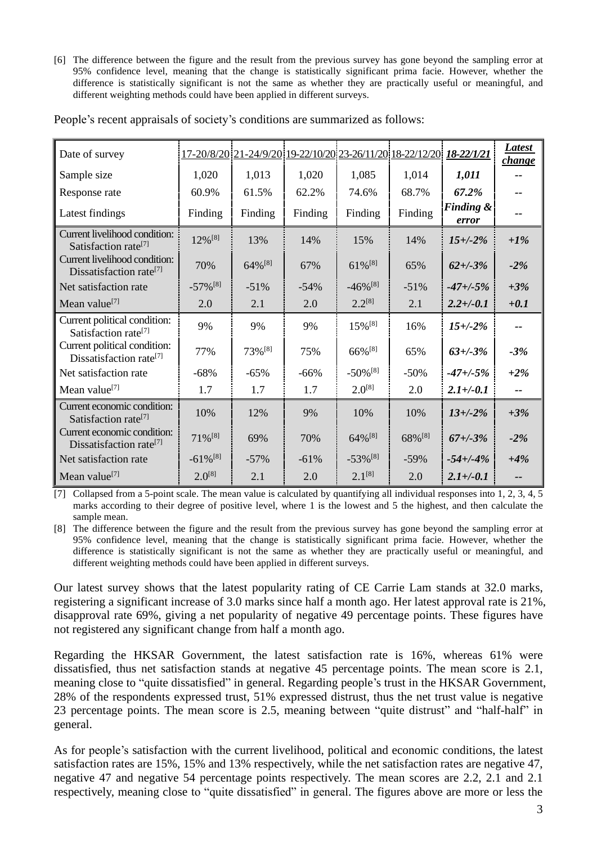[6] The difference between the figure and the result from the previous survey has gone beyond the sampling error at 95% confidence level, meaning that the change is statistically significant prima facie. However, whether the difference is statistically significant is not the same as whether they are practically useful or meaningful, and different weighting methods could have been applied in different surveys.

| Date of survey                                                       |                        | <u>17-20/8/20 21-24/9/20 19-22/10/20 23-26/11/20 18-22/12/20 18-22/1/21</u> |         |                        |                    |                               | <b>Latest</b><br>change  |
|----------------------------------------------------------------------|------------------------|-----------------------------------------------------------------------------|---------|------------------------|--------------------|-------------------------------|--------------------------|
| Sample size                                                          | 1,020                  | 1,013                                                                       | 1,020   | 1,085                  | 1,014              | 1,011                         |                          |
| Response rate                                                        | 60.9%                  | 61.5%                                                                       | 62.2%   | 74.6%                  | 68.7%              | 67.2%                         |                          |
| Latest findings                                                      | Finding                | Finding                                                                     | Finding | Finding                | Finding            | <b>Finding &amp;</b><br>error |                          |
| Current livelihood condition:<br>Satisfaction rate <sup>[7]</sup>    | 12% [8]                | 13%                                                                         | 14%     | 15%                    | 14%                | $15 + (-2%)$                  | $+1\%$                   |
| Current livelihood condition:<br>Dissatisfaction rate <sup>[7]</sup> | 70%                    | 64% <sup>[8]</sup>                                                          | 67%     | $61\%$ <sup>[8]</sup>  | 65%                | $62 + (-3%)$                  | $-2\%$                   |
| Net satisfaction rate                                                | $-57\%$ <sup>[8]</sup> | $-51%$                                                                      | $-54%$  | $-46\%$ <sup>[8]</sup> | $-51%$             | $-47 + (-5%$                  | $+3%$                    |
| Mean value <sup>[7]</sup>                                            | 2.0                    | 2.1                                                                         | 2.0     | $2.2^{[8]}$            | 2.1                | $2.2 + (-0.1)$                | $+0.1$                   |
| Current political condition:<br>Satisfaction rate <sup>[7]</sup>     | 9%                     | 9%                                                                          | 9%      | $15\%$ <sup>[8]</sup>  | 16%                | $15 + (-2%)$                  |                          |
| Current political condition:<br>Dissatisfaction rate <sup>[7]</sup>  | 77%                    | 73%[8]                                                                      | 75%     | 66% <sup>[8]</sup>     | 65%                | $63 + (-3%)$                  | $-3%$                    |
| Net satisfaction rate                                                | $-68%$                 | $-65%$                                                                      | $-66%$  | $-50\%$ <sup>[8]</sup> | $-50%$             | $-47 + (-5\%$                 | $+2\%$                   |
| Mean value <sup>[7]</sup>                                            | 1.7                    | 1.7                                                                         | 1.7     | $2.0^{[8]}$            | 2.0                | $2.1 + (-0.1)$                | $\overline{\phantom{a}}$ |
| Current economic condition:<br>Satisfaction rate <sup>[7]</sup>      | 10%                    | 12%                                                                         | 9%      | 10%                    | 10%                | $13 + (-2%)$                  | $+3%$                    |
| Current economic condition:<br>Dissatisfaction rate <sup>[7]</sup>   | $71\%$ <sup>[8]</sup>  | 69%                                                                         | 70%     | $64\%^{[8]}$           | 68% <sup>[8]</sup> | $67 + (-3%)$                  | $-2%$                    |
| Net satisfaction rate                                                | $-61\%$ <sup>[8]</sup> | $-57%$                                                                      | $-61%$  | $-53\%$ <sup>[8]</sup> | $-59%$             | $-54 + (-4%$                  | $+4%$                    |
| Mean value <sup>[7]</sup>                                            | $2.0^{[8]}$            | 2.1                                                                         | 2.0     | $2.1^{[8]}$            | 2.0                | $2.1 + (-0.1)$                |                          |

People's recent appraisals of society's conditions are summarized as follows:

[7] Collapsed from a 5-point scale. The mean value is calculated by quantifying all individual responses into 1, 2, 3, 4, 5 marks according to their degree of positive level, where 1 is the lowest and 5 the highest, and then calculate the sample mean.

[8] The difference between the figure and the result from the previous survey has gone beyond the sampling error at 95% confidence level, meaning that the change is statistically significant prima facie. However, whether the difference is statistically significant is not the same as whether they are practically useful or meaningful, and different weighting methods could have been applied in different surveys.

Our latest survey shows that the latest popularity rating of CE Carrie Lam stands at 32.0 marks, registering a significant increase of 3.0 marks since half a month ago. Her latest approval rate is 21%, disapproval rate 69%, giving a net popularity of negative 49 percentage points. These figures have not registered any significant change from half a month ago.

Regarding the HKSAR Government, the latest satisfaction rate is 16%, whereas 61% were dissatisfied, thus net satisfaction stands at negative 45 percentage points. The mean score is 2.1, meaning close to "quite dissatisfied" in general. Regarding people's trust in the HKSAR Government, 28% of the respondents expressed trust, 51% expressed distrust, thus the net trust value is negative 23 percentage points. The mean score is 2.5, meaning between "quite distrust" and "half-half" in general.

As for people's satisfaction with the current livelihood, political and economic conditions, the latest satisfaction rates are 15%, 15% and 13% respectively, while the net satisfaction rates are negative 47, negative 47 and negative 54 percentage points respectively. The mean scores are 2.2, 2.1 and 2.1 respectively, meaning close to "quite dissatisfied" in general. The figures above are more or less the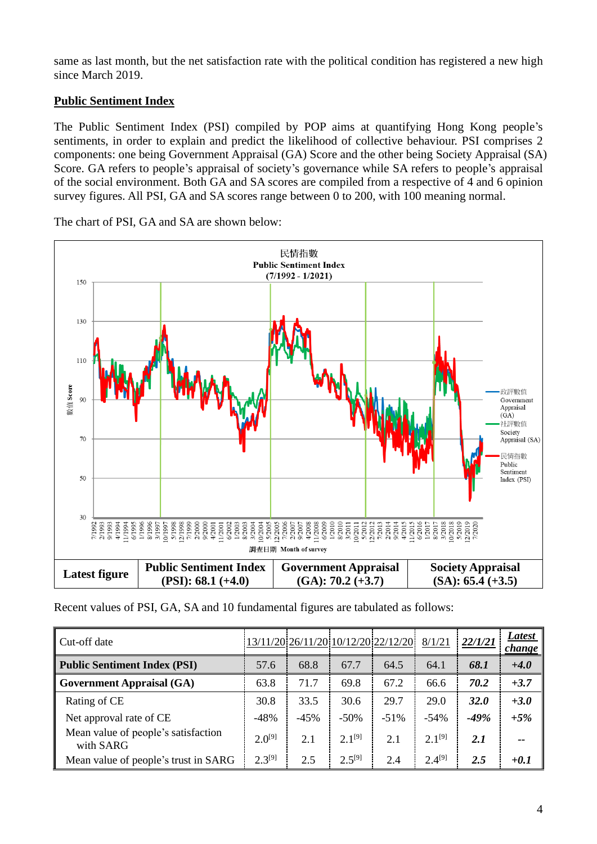same as last month, but the net satisfaction rate with the political condition has registered a new high since March 2019.

## **Public Sentiment Index**

The Public Sentiment Index (PSI) compiled by POP aims at quantifying Hong Kong people's sentiments, in order to explain and predict the likelihood of collective behaviour. PSI comprises 2 components: one being Government Appraisal (GA) Score and the other being Society Appraisal (SA) Score. GA refers to people's appraisal of society's governance while SA refers to people's appraisal of the social environment. Both GA and SA scores are compiled from a respective of 4 and 6 opinion survey figures. All PSI, GA and SA scores range between 0 to 200, with 100 meaning normal.

民情指數 **Public Sentiment Index**  $(7/1992 - 1/2021)$  $15<sub>C</sub>$ 130  $110$ 數值 Score 政評數值  $\overline{9}$ Government Appraisal  $(GA)$ 社評數值 Society Appraisal (SA) 70 民情指數 Public Sentiment 50 Index (PSI) 30  $\begin{array}{l} 9/2000 \\ 4/2001 \\ 11/2001 \\ 6/2002 \\ 11/2003 \\ 8/2003 \\ 8/2004 \\ 10/2004 \\ 10/2005 \\ 5/2005 \\ 12/2005 \\ 7/2006 \\ 7/2006 \\ \end{array}$  $\begin{array}{l} 1/2010 \\ 8/2011 \\ 8/2011 \\ 9/2011 \\ 5/2012 \\ 5/2012 \\ 7/2013 \\ 7/2014 \\ 9/2014 \\ 9/2014 \\ 9/2014 \\ 9/2014 \\ 9/2014 \\ 9/2014 \\ 9/2014 \\ 9/2014 \\ 9/2014 \\ 9/2014 \\ 9/2014 \\ 9/2014 \\ 9/2014 \\ 9/2014 \\ 9/2014 \\ 9/2014 \\ 9/2014 \\ 9/2014 \\ 9/20$  $\begin{array}{l} 71992 \\ 71933 \\ 21933 \\ 51933 \\ 51934 \\ 51935 \\ 51936 \\ 51936 \\ 51936 \\ 51936 \\ 51936 \\ 51936 \\ 51936 \\ 51936 \\ 51936 \\ 51936 \\ 51936 \\ 51936 \\ 51936 \\ 51936 \\ 51936 \\ 51936 \\ 51936 \\ 51936 \\ 51936 \\ 51936 \\ 51936 \\ 51936 \\ 51936 \\ 51936 \\ 51$ 4/2008 1/2008 6/2009 42015<br>1/2015<br>6/2017<br>6/2017 1/2017<br>8/2018 1/2019<br>5/2010 1/2020<br>2/2020 9/2007  $/200$ 調査日期 Month of survey **Latest figure Public Sentiment Index Government Appraisal Society Appraisal (GA): 70.2 (+3.7) (PSI): 68.1 (+4.0) (SA): 65.4 (+3.5)**

The chart of PSI, GA and SA are shown below:

Recent values of PSI, GA, SA and 10 fundamental figures are tabulated as follows:

| Cut-off date                                     |             |        |             | 13/11/20 26/11/20 10/12/20 22/12/20 | 8/1/21      | 22/1/21     | Latest<br>change |
|--------------------------------------------------|-------------|--------|-------------|-------------------------------------|-------------|-------------|------------------|
| <b>Public Sentiment Index (PSI)</b>              | 57.6        | 68.8   | 67.7        | 64.5                                | 64.1        | 68.1        | $+4.0$           |
| <b>Government Appraisal (GA)</b>                 | 63.8        | 71.7   | 69.8        | 67.2                                | 66.6        | 70.2        | $+3.7$           |
| Rating of CE                                     | 30.8        | 33.5   | 30.6        | 29.7                                | 29.0        | <b>32.0</b> | $+3.0$           |
| Net approval rate of CE                          | $-48%$      | $-45%$ | $-50%$      | $-51%$                              | $-54%$      | $-49%$      | $+5%$            |
| Mean value of people's satisfaction<br>with SARG | $2.0^{[9]}$ | 2.1    | $2.1^{[9]}$ | 2.1                                 | $2.1^{[9]}$ | 2.1         | --               |
| Mean value of people's trust in SARG             | $2.3^{[9]}$ | 2.5    | $2.5^{[9]}$ | 2.4                                 | $2.4^{[9]}$ | 2.5         | $+0.1$           |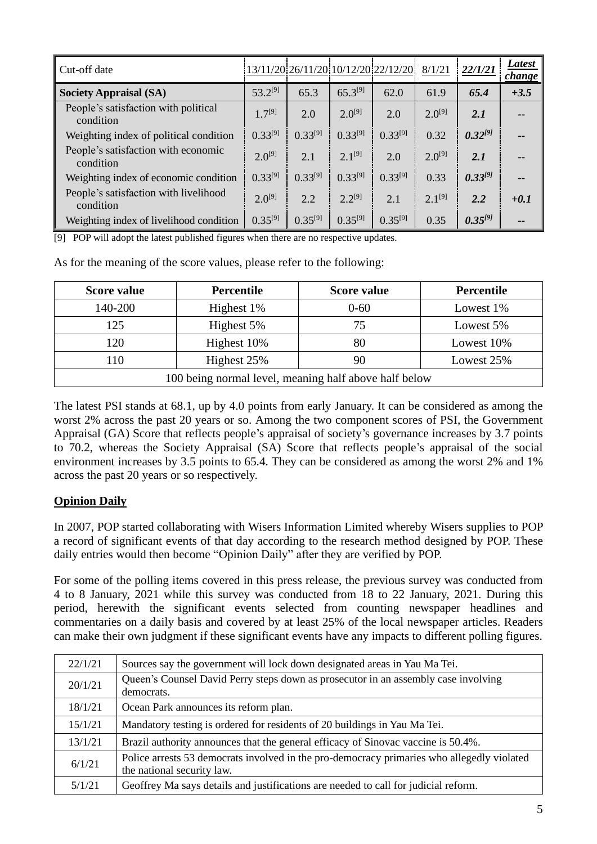| Cut-off date                                       |              |              |              | 13/11/20 26/11/20 10/12/20 22/12/20 | 8/1/21      | 22/1/21      | Latest<br><i>change</i> |
|----------------------------------------------------|--------------|--------------|--------------|-------------------------------------|-------------|--------------|-------------------------|
| <b>Society Appraisal (SA)</b>                      | $53.2^{[9]}$ | 65.3         | $65.3^{[9]}$ | 62.0                                | 61.9        | 65.4         | $+3.5$                  |
| People's satisfaction with political<br>condition  | $1.7^{[9]}$  | 2.0          | $2.0^{[9]}$  | 2.0                                 | $2.0^{[9]}$ | 2.1          |                         |
| Weighting index of political condition             | $0.33^{[9]}$ | $0.33^{[9]}$ | $0.33^{[9]}$ | $0.33^{[9]}$                        | 0.32        | $0.32^{[9]}$ | --                      |
| People's satisfaction with economic<br>condition   | $2.0^{[9]}$  | 2.1          | $2.1^{[9]}$  | 2.0                                 | $2.0^{[9]}$ | 2.1          |                         |
| Weighting index of economic condition              | $0.33^{[9]}$ | $0.33^{[9]}$ | $0.33^{[9]}$ | $0.33^{[9]}$                        | 0.33        | $0.33^{[9]}$ | --                      |
| People's satisfaction with livelihood<br>condition | $2.0^{[9]}$  | 2.2          | $2.2^{[9]}$  | 2.1                                 | $2.1^{[9]}$ | 2.2          | $+0.1$                  |
| Weighting index of livelihood condition            | $0.35^{[9]}$ | $0.35^{[9]}$ | $0.35^{[9]}$ | $0.35^{[9]}$                        | 0.35        | $0.35^{[9]}$ | --                      |

[9] POP will adopt the latest published figures when there are no respective updates.

As for the meaning of the score values, please refer to the following:

| <b>Score value</b>                                    | Percentile  |          | <b>Percentile</b> |  |  |
|-------------------------------------------------------|-------------|----------|-------------------|--|--|
| 140-200                                               | Highest 1%  | $0 - 60$ | Lowest 1\%        |  |  |
| 125                                                   | Highest 5%  | 75       | Lowest 5%         |  |  |
| 120                                                   | Highest 10% | 80       | Lowest 10%        |  |  |
| Highest 25%<br>90<br>10<br>Lowest 25%                 |             |          |                   |  |  |
| 100 being normal level, meaning half above half below |             |          |                   |  |  |

The latest PSI stands at 68.1, up by 4.0 points from early January. It can be considered as among the worst 2% across the past 20 years or so. Among the two component scores of PSI, the Government Appraisal (GA) Score that reflects people's appraisal of society's governance increases by 3.7 points to 70.2, whereas the Society Appraisal (SA) Score that reflects people's appraisal of the social environment increases by 3.5 points to 65.4. They can be considered as among the worst 2% and 1% across the past 20 years or so respectively.

## **Opinion Daily**

In 2007, POP started collaborating with Wisers Information Limited whereby Wisers supplies to POP a record of significant events of that day according to the research method designed by POP. These daily entries would then become "Opinion Daily" after they are verified by POP.

For some of the polling items covered in this press release, the previous survey was conducted from 4 to 8 January, 2021 while this survey was conducted from 18 to 22 January, 2021. During this period, herewith the significant events selected from counting newspaper headlines and commentaries on a daily basis and covered by at least 25% of the local newspaper articles. Readers can make their own judgment if these significant events have any impacts to different polling figures.

| 22/1/21 | Sources say the government will lock down designated areas in Yau Ma Tei.                                                |
|---------|--------------------------------------------------------------------------------------------------------------------------|
| 20/1/21 | Queen's Counsel David Perry steps down as prosecutor in an assembly case involving<br>democrats.                         |
| 18/1/21 | Ocean Park announces its reform plan.                                                                                    |
| 15/1/21 | Mandatory testing is ordered for residents of 20 buildings in Yau Ma Tei.                                                |
| 13/1/21 | Brazil authority announces that the general efficacy of Sinovac vaccine is 50.4%.                                        |
| 6/1/21  | Police arrests 53 democrats involved in the pro-democracy primaries who allegedly violated<br>the national security law. |
| 5/1/21  | Geoffrey Ma says details and justifications are needed to call for judicial reform.                                      |